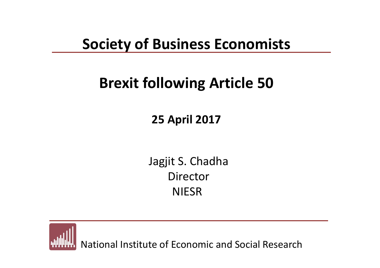### **Society of Business Economists**

### **Brexit following Article 50**

### **25 April 2017**

Jagjit S. Chadha DirectorNIESR

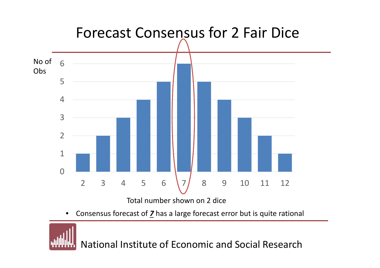

 $\bullet$ Consensus forecast of *7* has <sup>a</sup> large forecast error but is quite rational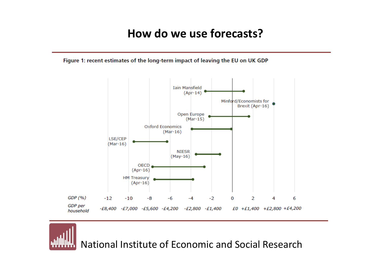#### **How do we use forecasts?**

Figure 1: recent estimates of the long-term impact of leaving the EU on UK GDP

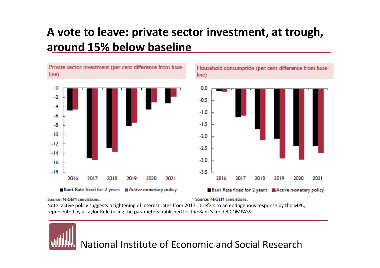#### **A vote to leave: private sector investment, at trough, around 15% below baseline**



#### Source: NiGEM simulations.

Source: NiGEM simulations.

Note: active policy suggests <sup>a</sup> tightening of interest rates from 2017. It refers to an endogenous response by the MPC, represented by <sup>a</sup> Taylor Rule (using the parameters published for the Bank's model COMPASS).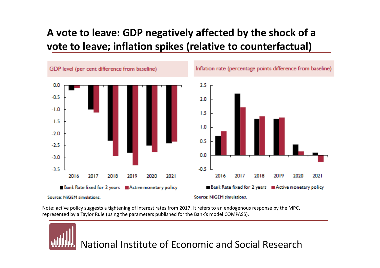#### **A vote to leave: GDP negatively affected by the shock of <sup>a</sup> vote to leave; inflation spikes (relative to counterfactual)**



Note: active policy suggests <sup>a</sup> tightening of interest rates from 2017. It refers to an endogenous response by the MPC, represented by <sup>a</sup> Taylor Rule (using the parameters published for the Bank's model COMPASS).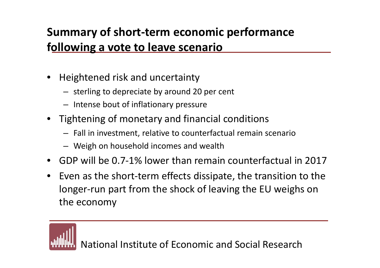### **Summary of short‐term economic performance following <sup>a</sup> vote to leave scenario**

- Heightened risk and uncertainty
	- sterling to depreciate by around 20 per cent
	- Intense bout of inflationary pressure
- Tightening of monetary and financial conditions
	- Fall in investment, relative to counterfactual remain scenario
	- Weigh on household incomes and wealth
- GDP will be 0.7‐1% lower than remain counterfactual in 2017
- Even as the short‐term effects dissipate, the transition to the longer‐run part from the shock of leaving the EU weighs on the economy

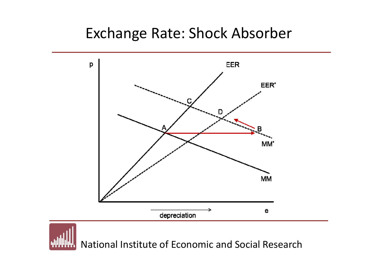### Exchange Rate: Shock Absorber

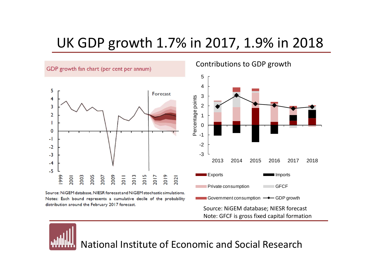### UK GDP growth 1.7% in 2017, 1.9% in 2018



Note: GFCF is gross fixed capital formation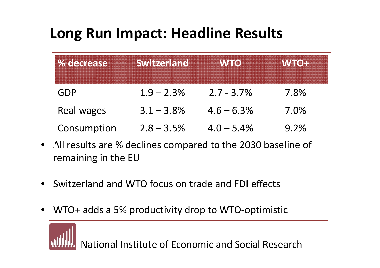### **Long Run Impact: Headline Results**

| % decrease  | <b>Switzerland</b> | <b>WTO</b>    | <b>WTO+</b> |
|-------------|--------------------|---------------|-------------|
| GDP         | $1.9 - 2.3\%$      | $2.7 - 3.7\%$ | 7.8%        |
| Real wages  | $3.1 - 3.8\%$      | $4.6 - 6.3\%$ | 7.0%        |
| Consumption | $2.8 - 3.5\%$      | $4.0 - 5.4\%$ | 9.2%        |

- $\bullet$  All results are % declines compared to the 2030 baseline of remaining in the EU
- •**•** Switzerland and WTO focus on trade and FDI effects
- WTO+ adds <sup>a</sup> 5% productivity drop to WTO‐optimistic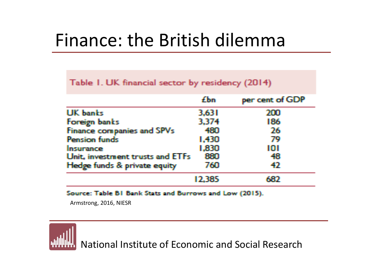# Finance: the British dilemma

#### Table 1. UK financial sector by residency (2014)

|                                   | <b>£hn</b> | per cent of GDP |
|-----------------------------------|------------|-----------------|
| <b>UK</b> banks                   | 3,631      | 200             |
| Foreign banks                     | 3,374      | 186             |
| <b>Finance companies and SPVs</b> | 480        | 26              |
| <b>Pension funds</b>              | 1,430      | 79              |
| Insurance                         | 1,830      | 101             |
| Unit, investment trusts and ETFs  | 880        | 48              |
| Hedge funds & private equity      | 760        | 42              |
|                                   | 12,385     | 63D             |

Source: Table B1 Bank Stats and Burrows and Low (2015).

Armstrong, 2016, NIESR

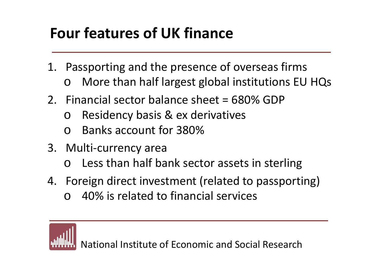### **Four features of UK finance**

- 1. Passporting and the presence of overseas firms  $\Omega$ More than half largest global institutions EU HQs
- 2. Financial sector balance sheet <sup>=</sup> 680% GDP
	- oResidency basis & ex derivatives
	- o Banks account for 380%
- 3. Multi‐currency area
	- o Less than half bank sector assets in sterling
- 4. Foreign direct investment (related to passporting)
	- o40% is related to financial services

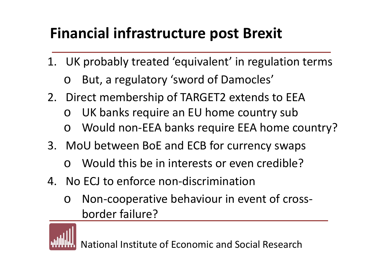## **Financial infrastructure post Brexit**

- 1. UK probably treated 'equivalent' in regulation terms
	- oBut, <sup>a</sup> regulatory 'sword of Damocles'
- 2. Direct membership of TARGET2 extends to EEA
	- oUK banks require an EU home country sub
	- oWould non‐EEA banks require EEA home country?
- 3. MoU between BoE and ECB for currency swaps
	- o Would this be in interests or even credible?
- 4. No ECJ to enforce non‐discrimination
	- o Non‐cooperative behaviour in event of cross‐ border failure?

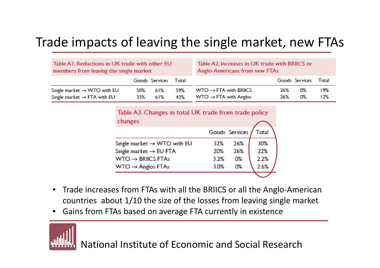### Trade impacts of leaving the single market, new FTAs

| Table A1. Reductions in UK trade with other EU<br>members from leaving the single market |     |                      | Table A2. Increases in UK trade with BRIICS or<br>Anglo-Americans from new FTAs |                                   |     |                |       |
|------------------------------------------------------------------------------------------|-----|----------------------|---------------------------------------------------------------------------------|-----------------------------------|-----|----------------|-------|
|                                                                                          |     | Goods Services Total |                                                                                 |                                   |     | Goods Services | Total |
| Single market $\rightarrow$ WTO with EU                                                  | 58% | 61%                  | 59%                                                                             | $WTO \rightarrow FTA$ with BRIICS | 26% | 0%             | 19%   |
| Single market $\rightarrow$ FTA with EU                                                  | 35% | 61%                  | 45%                                                                             | $WTO \rightarrow FTA$ with Anglos | 26% | 0%             | 12%   |

| Table A3. Changes in total UK trade from trade policy |      |                |       |  |
|-------------------------------------------------------|------|----------------|-------|--|
| changes                                               |      |                |       |  |
|                                                       |      | Goods Services | Total |  |
| Single market $\rightarrow$ WTO with EU               | 32%  | 26%            | 30%   |  |
| Single market $\rightarrow$ EU FTA                    | 20%  | 26%            | 22%   |  |
| $WTO \rightarrow BRIICS FTAs$                         | 3.2% | 0%             | 2.2%  |  |
| $WTO \rightarrow$ Anglos FTAs                         | 3.0% | 0%             | 2.6%  |  |
|                                                       |      |                |       |  |

- •● Trade increases from FTAs with all the BRIICS or all the Anglo-American countries about 1/10 the size of the losses from leaving single market
- •Gains from FTAs based on average FTA currently in existence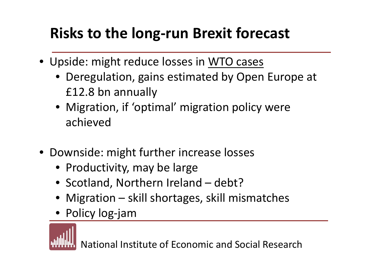## **Risks to the long‐run Brexit forecast**

- Upside: might reduce losses in WTO cases
	- Deregulation, gains estimated by Open Europe at £12.8 bn annually
	- Migration, if 'optimal' migration policy were achieved
- Downside: might further increase losses
	- Productivity, may be large
	- Scotland, Northern Ireland debt?
	- Migration skill shortages, skill mismatches
	- Policy log‐jam

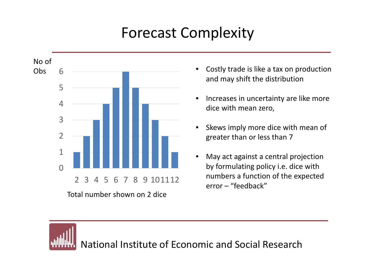## Forecast Complexity



Total number shown on 2 dice

- • Costly trade is like <sup>a</sup> tax on production and may shift the distribution
- •• Increases in uncertainty are like more dice with mean zero,
- •• Skews imply more dice with mean of greater than or less than 7
- • May act against <sup>a</sup> central projection by formulating policy i.e. dice with numbers a function of the expected error – "feedback"